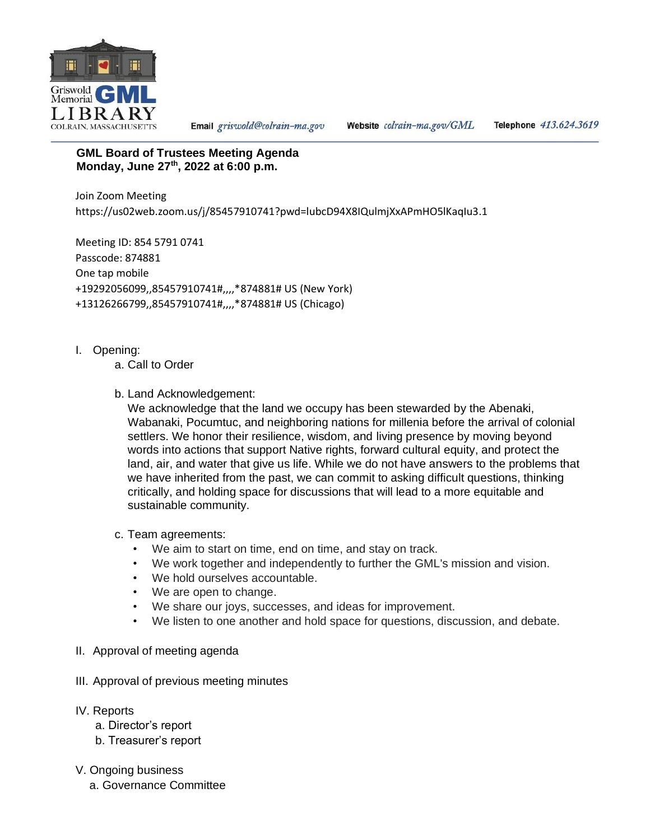

Email griswold@colrain-ma.gov

Website colrain-ma.gov/GML

Telephone 413.624.3619

## **GML Board of Trustees Meeting Agenda Monday, June 27th , 2022 at 6:00 p.m.**

Join Zoom Meeting https://us02web.zoom.us/j/85457910741?pwd=lubcD94X8IQulmjXxAPmHO5lKaqIu3.1

Meeting ID: 854 5791 0741 Passcode: 874881 One tap mobile +19292056099,,85457910741#,,,,\*874881# US (New York) +13126266799,,85457910741#,,,,\*874881# US (Chicago)

- I. Opening:
	- a. Call to Order
	- b. Land Acknowledgement:

We acknowledge that the land we occupy has been stewarded by the Abenaki, Wabanaki, Pocumtuc, and neighboring nations for millenia before the arrival of colonial settlers. We honor their resilience, wisdom, and living presence by moving beyond words into actions that support Native rights, forward cultural equity, and protect the land, air, and water that give us life. While we do not have answers to the problems that we have inherited from the past, we can commit to asking difficult questions, thinking critically, and holding space for discussions that will lead to a more equitable and sustainable community.

- c. Team agreements:
	- We aim to start on time, end on time, and stay on track.
	- We work together and independently to further the GML's mission and vision.
	- We hold ourselves accountable.
	- We are open to change.
	- We share our joys, successes, and ideas for improvement.
	- We listen to one another and hold space for questions, discussion, and debate.
- II. Approval of meeting agenda
- III. Approval of previous meeting minutes
- IV. Reports
	- a. Director's report
	- b. Treasurer's report
- V. Ongoing business
	- a. Governance Committee